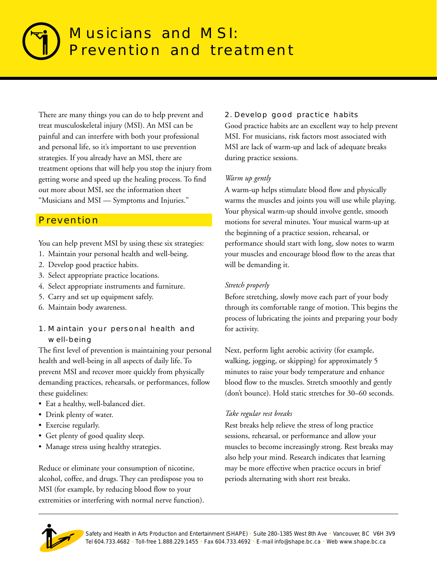# Musicians and MSI: Prevention and treatment

There are many things you can do to help prevent and treat musculoskeletal injury (MSI). An MSI can be painful and can interfere with both your professional and personal life, so it's important to use prevention strategies. If you already have an MSI, there are treatment options that will help you stop the injury from getting worse and speed up the healing process. To find out more about MSI, see the information sheet "Musicians and MSI — Symptoms and Injuries."

# **Prevention**

You can help prevent MSI by using these six strategies:

- 1. Maintain your personal health and well-being.
- 2. Develop good practice habits.
- 3. Select appropriate practice locations.
- 4. Select appropriate instruments and furniture.
- 5. Carry and set up equipment safely.
- 6. Maintain body awareness.
- 1. Maintain your personal health and well-being

The first level of prevention is maintaining your personal health and well-being in all aspects of daily life. To prevent MSI and recover more quickly from physically demanding practices, rehearsals, or performances, follow these guidelines:

- Eat a healthy, well-balanced diet.
- Drink plenty of water.
- Exercise regularly.
- Get plenty of good quality sleep.
- Manage stress using healthy strategies.

Reduce or eliminate your consumption of nicotine, alcohol, coffee, and drugs. They can predispose you to MSI (for example, by reducing blood flow to your extremities or interfering with normal nerve function).

## 2. Develop good practice habits

Good practice habits are an excellent way to help prevent MSI. For musicians, risk factors most associated with MSI are lack of warm-up and lack of adequate breaks during practice sessions.

## *Warm up gently*

A warm-up helps stimulate blood flow and physically warms the muscles and joints you will use while playing. Your physical warm-up should involve gentle, smooth motions for several minutes. Your musical warm-up at the beginning of a practice session, rehearsal, or performance should start with long, slow notes to warm your muscles and encourage blood flow to the areas that will be demanding it.

## *Stretch properly*

Before stretching, slowly move each part of your body through its comfortable range of motion. This begins the process of lubricating the joints and preparing your body for activity.

Next, perform light aerobic activity (for example, walking, jogging, or skipping) for approximately 5 minutes to raise your body temperature and enhance blood flow to the muscles. Stretch smoothly and gently (don't bounce). Hold static stretches for 30–60 seconds.

## *Take regular rest breaks*

Rest breaks help relieve the stress of long practice sessions, rehearsal, or performance and allow your muscles to become increasingly strong. Rest breaks may also help your mind. Research indicates that learning may be more effective when practice occurs in brief periods alternating with short rest breaks.

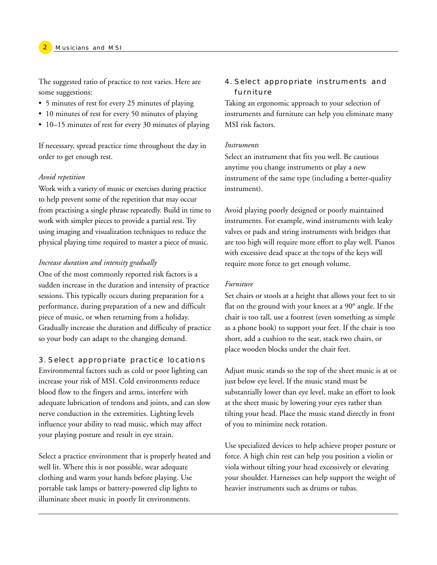The suggested ratio of practice to rest varies. Here are some suggestions:

- 5 minutes of rest for every 25 minutes of playing
- 10 minutes of rest for every 50 minutes of playing
- 10–15 minutes of rest for every 30 minutes of playing

If necessary, spread practice time throughout the day in order to get enough rest.

#### *Avoid repetition*

Work with a variety of music or exercises during practice to help prevent some of the repetition that may occur from practising a single phrase repeatedly. Build in time to work with simpler pieces to provide a partial rest. Try using imaging and visualization techniques to reduce the physical playing time required to master a piece of music.

#### *Increase duration and intensity gradually*

One of the most commonly reported risk factors is a sudden increase in the duration and intensity of practice sessions. This typically occurs during preparation for a performance, during preparation of a new and difficult piece of music, or when returning from a holiday. Gradually increase the duration and difficulty of practice so your body can adapt to the changing demand.

#### 3. Select appropriate practice locations

Environmental factors such as cold or poor lighting can increase your risk of MSI. Cold environments reduce blood flow to the fingers and arms, interfere with adequate lubrication of tendons and joints, and can slow nerve conduction in the extremities. Lighting levels influence your ability to read music, which may affect your playing posture and result in eye strain.

Select a practice environment that is properly heated and well lit. Where this is not possible, wear adequate clothing and warm your hands before playing. Use portable task lamps or battery-powered clip lights to illuminate sheet music in poorly lit environments.

## 4. Select appropriate instruments and furniture

Taking an ergonomic approach to your selection of instruments and furniture can help you eliminate many MSI risk factors.

#### *Instruments*

Select an instrument that fits you well. Be cautious anytime you change instruments or play a new instrument of the same type (including a better-quality instrument).

Avoid playing poorly designed or poorly maintained instruments. For example, wind instruments with leaky valves or pads and string instruments with bridges that are too high will require more effort to play well. Pianos with excessive dead space at the tops of the keys will require more force to get enough volume.

#### *Furniture*

Set chairs or stools at a height that allows your feet to sit flat on the ground with your knees at a 90° angle. If the chair is too tall, use a footrest (even something as simple as a phone book) to support your feet. If the chair is too short, add a cushion to the seat, stack two chairs, or place wooden blocks under the chair feet.

Adjust music stands so the top of the sheet music is at or just below eye level. If the music stand must be substantially lower than eye level, make an effort to look at the sheet music by lowering your eyes rather than tilting your head. Place the music stand directly in front of you to minimize neck rotation.

Use specialized devices to help achieve proper posture or force. A high chin rest can help you position a violin or viola without tilting your head excessively or elevating your shoulder. Harnesses can help support the weight of heavier instruments such as drums or tubas.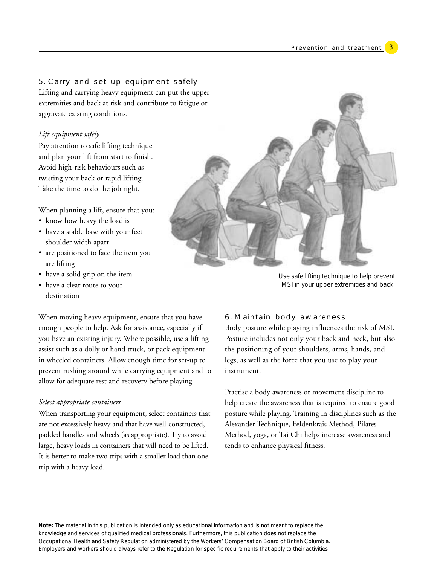#### 5. Carry and set up equipment safely

Lifting and carrying heavy equipment can put the upper extremities and back at risk and contribute to fatigue or aggravate existing conditions.

#### *Lift equipment safely*

Pay attention to safe lifting technique and plan your lift from start to finish. Avoid high-risk behaviours such as twisting your back or rapid lifting. Take the time to do the job right.

When planning a lift, ensure that you:

- know how heavy the load is
- have a stable base with your feet shoulder width apart
- are positioned to face the item you are lifting
- have a solid grip on the item
- have a clear route to your destination



*Use safe lifting technique to help prevent MSI in your upper extremities and back.*

When moving heavy equipment, ensure that you have enough people to help. Ask for assistance, especially if you have an existing injury. Where possible, use a lifting assist such as a dolly or hand truck, or pack equipment in wheeled containers. Allow enough time for set-up to prevent rushing around while carrying equipment and to allow for adequate rest and recovery before playing.

#### *Select appropriate containers*

When transporting your equipment, select containers that are not excessively heavy and that have well-constructed, padded handles and wheels (as appropriate). Try to avoid large, heavy loads in containers that will need to be lifted. It is better to make two trips with a smaller load than one trip with a heavy load.

#### 6. Maintain body awareness

Body posture while playing influences the risk of MSI. Posture includes not only your back and neck, but also the positioning of your shoulders, arms, hands, and legs, as well as the force that you use to play your instrument.

Practise a body awareness or movement discipline to help create the awareness that is required to ensure good posture while playing. Training in disciplines such as the Alexander Technique, Feldenkrais Method, Pilates Method, yoga, or Tai Chi helps increase awareness and tends to enhance physical fitness.

**Note:** The material in this publication is intended only as educational information and is not meant to replace the knowledge and services of qualified medical professionals. Furthermore, this publication does not replace the Occupational Health and Safety Regulation administered by the Workers' Compensation Board of British Columbia. Employers and workers should always refer to the Regulation for specific requirements that apply to their activities.